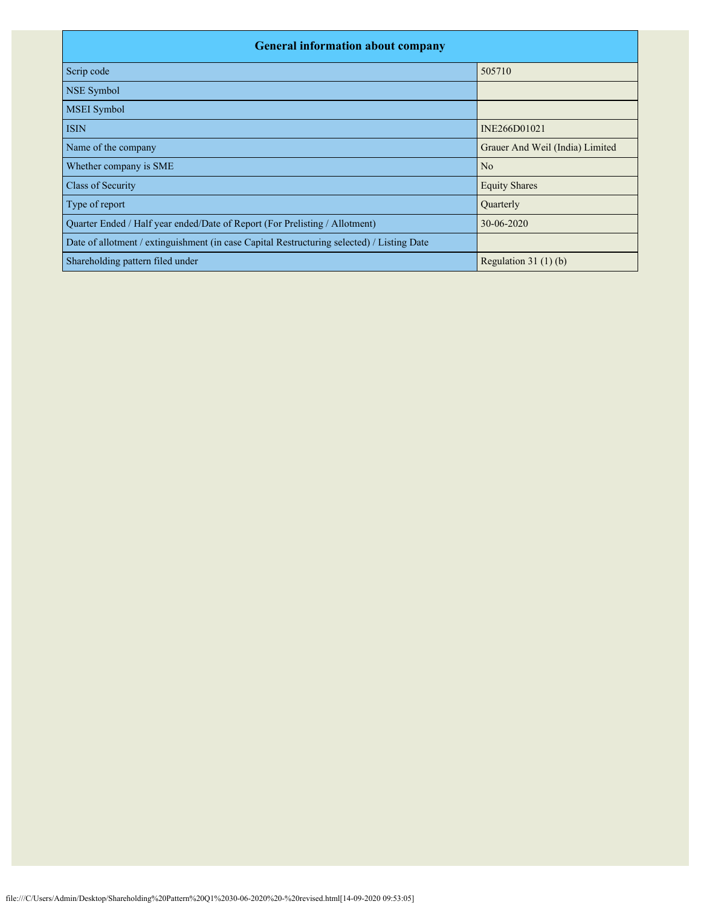| <b>General information about company</b>                                                   |                                 |  |  |  |  |  |  |
|--------------------------------------------------------------------------------------------|---------------------------------|--|--|--|--|--|--|
| Scrip code                                                                                 | 505710                          |  |  |  |  |  |  |
| NSE Symbol                                                                                 |                                 |  |  |  |  |  |  |
| MSEI Symbol                                                                                |                                 |  |  |  |  |  |  |
| <b>ISIN</b>                                                                                | INE266D01021                    |  |  |  |  |  |  |
| Name of the company                                                                        | Grauer And Weil (India) Limited |  |  |  |  |  |  |
| Whether company is SME                                                                     | N <sub>o</sub>                  |  |  |  |  |  |  |
| Class of Security                                                                          | <b>Equity Shares</b>            |  |  |  |  |  |  |
| Type of report                                                                             | Quarterly                       |  |  |  |  |  |  |
| Quarter Ended / Half year ended/Date of Report (For Prelisting / Allotment)                | 30-06-2020                      |  |  |  |  |  |  |
| Date of allotment / extinguishment (in case Capital Restructuring selected) / Listing Date |                                 |  |  |  |  |  |  |
| Shareholding pattern filed under                                                           | Regulation $31(1)(b)$           |  |  |  |  |  |  |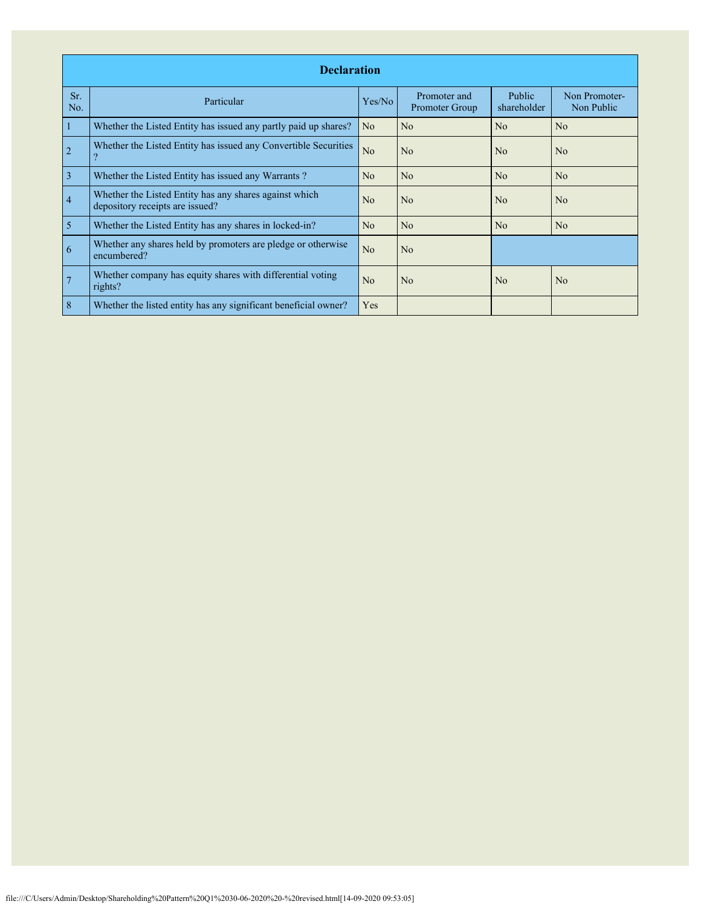|                | <b>Declaration</b>                                                                        |                |                                |                       |                             |  |  |  |  |  |  |
|----------------|-------------------------------------------------------------------------------------------|----------------|--------------------------------|-----------------------|-----------------------------|--|--|--|--|--|--|
| Sr.<br>No.     | Particular                                                                                | Yes/No         | Promoter and<br>Promoter Group | Public<br>shareholder | Non Promoter-<br>Non Public |  |  |  |  |  |  |
| -1             | Whether the Listed Entity has issued any partly paid up shares?                           | N <sub>o</sub> | No                             | No                    | No                          |  |  |  |  |  |  |
| $\overline{2}$ | Whether the Listed Entity has issued any Convertible Securities<br>$\overline{?}$         | N <sub>o</sub> | No                             | No                    | No                          |  |  |  |  |  |  |
| $\overline{3}$ | Whether the Listed Entity has issued any Warrants?                                        | No             | N <sub>o</sub>                 | No                    | No                          |  |  |  |  |  |  |
| $\overline{4}$ | Whether the Listed Entity has any shares against which<br>depository receipts are issued? | N <sub>o</sub> | No                             | No                    | No                          |  |  |  |  |  |  |
| 5              | Whether the Listed Entity has any shares in locked-in?                                    | N <sub>o</sub> | N <sub>o</sub>                 | No                    | N <sub>o</sub>              |  |  |  |  |  |  |
| 6              | Whether any shares held by promoters are pledge or otherwise<br>encumbered?               | N <sub>o</sub> | No                             |                       |                             |  |  |  |  |  |  |
| 7              | Whether company has equity shares with differential voting<br>rights?                     | N <sub>o</sub> | No                             | No                    | No                          |  |  |  |  |  |  |
| 8              | Whether the listed entity has any significant beneficial owner?                           | <b>Yes</b>     |                                |                       |                             |  |  |  |  |  |  |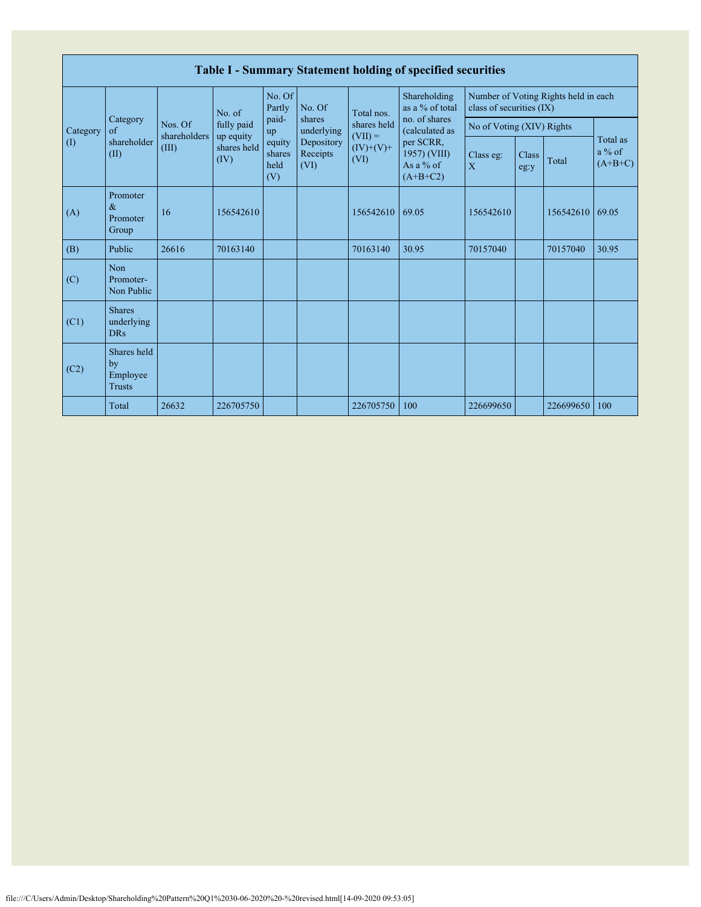|                                                      | Table I - Summary Statement holding of specified securities |                         |                         |                                 |                                |                                                               |                                                                                                                              |                                                                  |                      |           |                                   |  |
|------------------------------------------------------|-------------------------------------------------------------|-------------------------|-------------------------|---------------------------------|--------------------------------|---------------------------------------------------------------|------------------------------------------------------------------------------------------------------------------------------|------------------------------------------------------------------|----------------------|-----------|-----------------------------------|--|
| of<br>Category<br>$\left( \mathrm{I}\right)$<br>(II) | Category                                                    |                         | No. of                  | No. Of<br>Partly                | No. Of                         | Total nos.<br>shares held<br>$(VII) =$<br>$(IV)+(V)+$<br>(VI) | Shareholding<br>as a % of total<br>no. of shares<br>(calculated as<br>per SCRR,<br>1957) (VIII)<br>As a $%$ of<br>$(A+B+C2)$ | Number of Voting Rights held in each<br>class of securities (IX) |                      |           |                                   |  |
|                                                      |                                                             | Nos. Of<br>shareholders | fully paid<br>up equity | paid-<br>up                     | shares<br>underlying           |                                                               |                                                                                                                              | No of Voting (XIV) Rights                                        |                      |           |                                   |  |
|                                                      | shareholder                                                 | (III)                   | shares held<br>(IV)     | equity<br>shares<br>held<br>(V) | Depository<br>Receipts<br>(VI) |                                                               |                                                                                                                              | Class eg:<br>X                                                   | <b>Class</b><br>eg:y | Total     | Total as<br>$a\%$ of<br>$(A+B+C)$ |  |
| (A)                                                  | Promoter<br>$\&$<br>Promoter<br>Group                       | 16                      | 156542610               |                                 |                                | 156542610                                                     | 69.05                                                                                                                        | 156542610                                                        |                      | 156542610 | 69.05                             |  |
| (B)                                                  | Public                                                      | 26616                   | 70163140                |                                 |                                | 70163140                                                      | 30.95                                                                                                                        | 70157040                                                         |                      | 70157040  | 30.95                             |  |
| (C)                                                  | Non<br>Promoter-<br>Non Public                              |                         |                         |                                 |                                |                                                               |                                                                                                                              |                                                                  |                      |           |                                   |  |
| (C1)                                                 | <b>Shares</b><br>underlying<br><b>DRs</b>                   |                         |                         |                                 |                                |                                                               |                                                                                                                              |                                                                  |                      |           |                                   |  |
| (C2)                                                 | Shares held<br>by<br>Employee<br><b>Trusts</b>              |                         |                         |                                 |                                |                                                               |                                                                                                                              |                                                                  |                      |           |                                   |  |
|                                                      | Total                                                       | 26632                   | 226705750               |                                 |                                | 226705750                                                     | 100                                                                                                                          | 226699650                                                        |                      | 226699650 | 100                               |  |

Г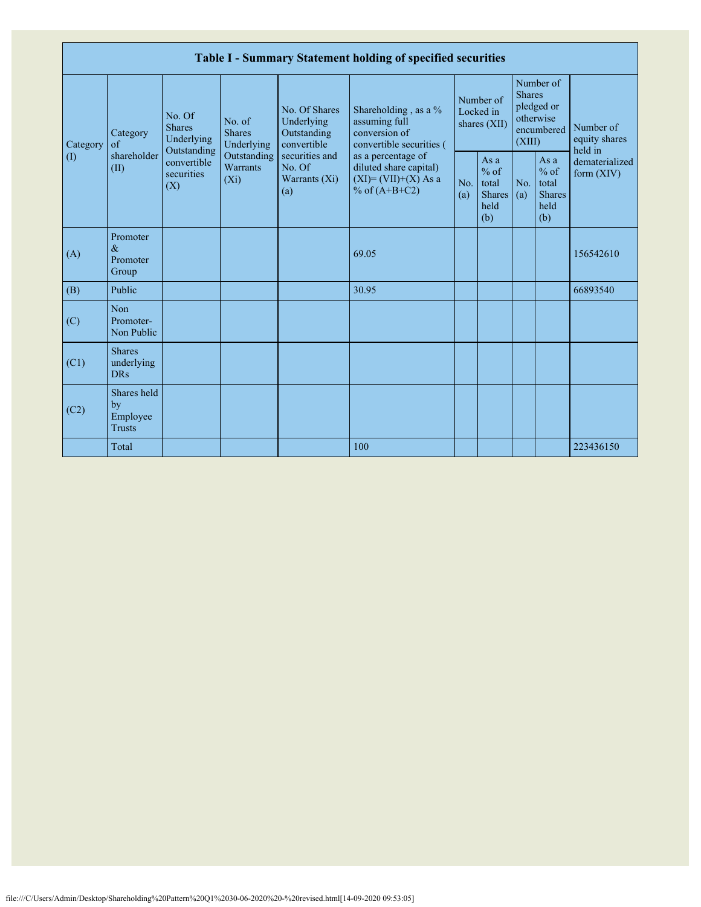|                 | Table I - Summary Statement holding of specified securities                            |                           |                                                                             |                                                                                                                  |                                                                                                                                                                                |                                        |                                                         |                         |                                                         |                                       |  |
|-----------------|----------------------------------------------------------------------------------------|---------------------------|-----------------------------------------------------------------------------|------------------------------------------------------------------------------------------------------------------|--------------------------------------------------------------------------------------------------------------------------------------------------------------------------------|----------------------------------------|---------------------------------------------------------|-------------------------|---------------------------------------------------------|---------------------------------------|--|
| Category<br>(1) | No. Of<br><b>Shares</b><br>Category<br>of<br>Outstanding<br>shareholder<br>(II)<br>(X) | Underlying                | No. of<br><b>Shares</b><br>Underlying<br>Outstanding<br>Warrants<br>$(X_i)$ | No. Of Shares<br>Underlying<br>Outstanding<br>convertible<br>securities and<br>No. Of<br>Warrants $(X_i)$<br>(a) | Shareholding, as a %<br>assuming full<br>conversion of<br>convertible securities (<br>as a percentage of<br>diluted share capital)<br>$(XI)=(VII)+(X) As a$<br>% of $(A+B+C2)$ | Number of<br>Locked in<br>shares (XII) |                                                         | <b>Shares</b><br>(XIII) | Number of<br>pledged or<br>otherwise<br>encumbered      | Number of<br>equity shares<br>held in |  |
|                 |                                                                                        | convertible<br>securities |                                                                             |                                                                                                                  |                                                                                                                                                                                | No.<br>(a)                             | As a<br>$%$ of<br>total<br><b>Shares</b><br>held<br>(b) | No.<br>(a)              | As a<br>$%$ of<br>total<br><b>Shares</b><br>held<br>(b) | dematerialized<br>form $(XIV)$        |  |
| (A)             | Promoter<br>$\&$<br>Promoter<br>Group                                                  |                           |                                                                             |                                                                                                                  | 69.05                                                                                                                                                                          |                                        |                                                         |                         |                                                         | 156542610                             |  |
| (B)             | Public                                                                                 |                           |                                                                             |                                                                                                                  | 30.95                                                                                                                                                                          |                                        |                                                         |                         |                                                         | 66893540                              |  |
| (C)             | Non<br>Promoter-<br>Non Public                                                         |                           |                                                                             |                                                                                                                  |                                                                                                                                                                                |                                        |                                                         |                         |                                                         |                                       |  |
| (C1)            | <b>Shares</b><br>underlying<br><b>DRs</b>                                              |                           |                                                                             |                                                                                                                  |                                                                                                                                                                                |                                        |                                                         |                         |                                                         |                                       |  |
| (C2)            | Shares held<br>by<br>Employee<br><b>Trusts</b>                                         |                           |                                                                             |                                                                                                                  |                                                                                                                                                                                |                                        |                                                         |                         |                                                         |                                       |  |
|                 | Total                                                                                  |                           |                                                                             |                                                                                                                  | 100                                                                                                                                                                            |                                        |                                                         |                         |                                                         | 223436150                             |  |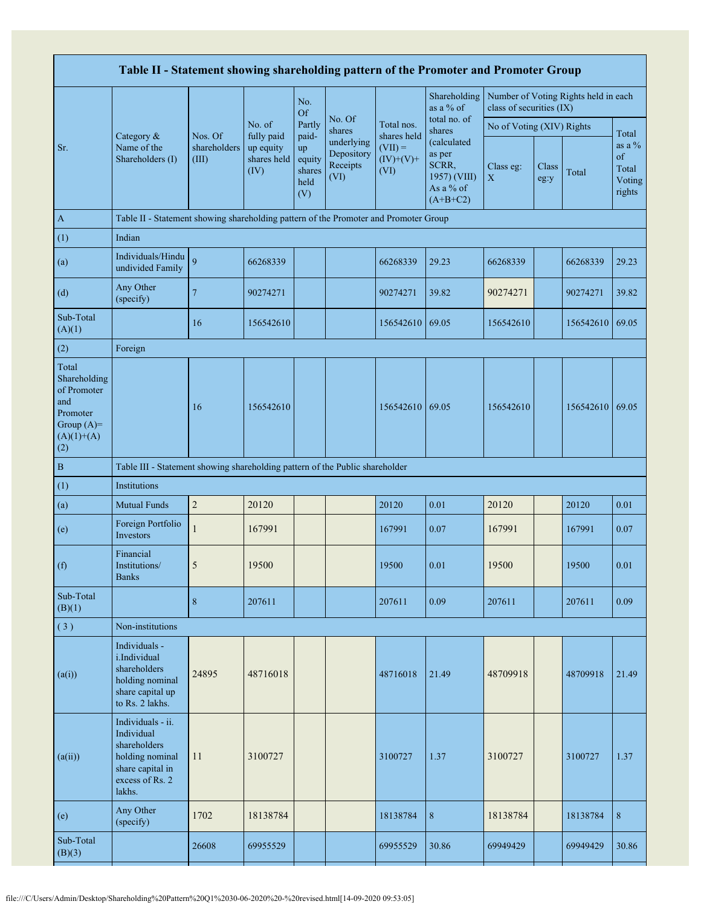|                                                                                                | Table II - Statement showing shareholding pattern of the Promoter and Promoter Group                                |                                  |                                                |                                                |                                                                  |                                                 |                                                                           |                           |               |                                      |                                                      |  |
|------------------------------------------------------------------------------------------------|---------------------------------------------------------------------------------------------------------------------|----------------------------------|------------------------------------------------|------------------------------------------------|------------------------------------------------------------------|-------------------------------------------------|---------------------------------------------------------------------------|---------------------------|---------------|--------------------------------------|------------------------------------------------------|--|
|                                                                                                |                                                                                                                     |                                  |                                                | No.<br><b>Of</b>                               |                                                                  |                                                 | Shareholding<br>as a % of                                                 | class of securities (IX)  |               | Number of Voting Rights held in each |                                                      |  |
|                                                                                                |                                                                                                                     |                                  | No. of                                         | Partly                                         | No. Of<br>shares<br>underlying<br>Depository<br>Receipts<br>(VI) | Total nos.                                      | total no. of<br>shares                                                    | No of Voting (XIV) Rights |               |                                      |                                                      |  |
| Sr.                                                                                            | Category &<br>Name of the<br>Shareholders (I)                                                                       | Nos. Of<br>shareholders<br>(III) | fully paid<br>up equity<br>shares held<br>(IV) | paid-<br>up<br>equity<br>shares<br>held<br>(V) |                                                                  | shares held<br>$(VII) =$<br>$(IV)+(V)+$<br>(VI) | (calculated<br>as per<br>SCRR,<br>1957) (VIII)<br>As a % of<br>$(A+B+C2)$ | Class eg:<br>$\mathbf X$  | Class<br>eg:y | Total                                | Total<br>as a $%$<br>of<br>Total<br>Voting<br>rights |  |
| $\mathbf{A}$                                                                                   | Table II - Statement showing shareholding pattern of the Promoter and Promoter Group                                |                                  |                                                |                                                |                                                                  |                                                 |                                                                           |                           |               |                                      |                                                      |  |
| (1)                                                                                            | Indian                                                                                                              |                                  |                                                |                                                |                                                                  |                                                 |                                                                           |                           |               |                                      |                                                      |  |
| (a)                                                                                            | Individuals/Hindu<br>undivided Family                                                                               | 9                                | 66268339                                       |                                                |                                                                  | 66268339                                        | 29.23                                                                     | 66268339                  |               | 66268339                             | 29.23                                                |  |
| (d)                                                                                            | Any Other<br>(specify)                                                                                              | $\overline{7}$                   | 90274271                                       |                                                |                                                                  | 90274271                                        | 39.82                                                                     | 90274271                  |               | 90274271                             | 39.82                                                |  |
| Sub-Total<br>(A)(1)                                                                            |                                                                                                                     | 16                               | 156542610                                      |                                                |                                                                  | 156542610 69.05                                 |                                                                           | 156542610                 |               | 156542610 69.05                      |                                                      |  |
| (2)                                                                                            | Foreign                                                                                                             |                                  |                                                |                                                |                                                                  |                                                 |                                                                           |                           |               |                                      |                                                      |  |
| Total<br>Shareholding<br>of Promoter<br>and<br>Promoter<br>Group $(A)=$<br>$(A)(1)+(A)$<br>(2) |                                                                                                                     | 16                               | 156542610                                      |                                                |                                                                  | 156542610 69.05                                 |                                                                           | 156542610                 |               | 156542610 69.05                      |                                                      |  |
| $\, {\bf B}$                                                                                   | Table III - Statement showing shareholding pattern of the Public shareholder                                        |                                  |                                                |                                                |                                                                  |                                                 |                                                                           |                           |               |                                      |                                                      |  |
| (1)                                                                                            | Institutions                                                                                                        |                                  |                                                |                                                |                                                                  |                                                 |                                                                           |                           |               |                                      |                                                      |  |
| (a)                                                                                            | <b>Mutual Funds</b>                                                                                                 | $\sqrt{2}$                       | 20120                                          |                                                |                                                                  | 20120                                           | 0.01                                                                      | 20120                     |               | 20120                                | 0.01                                                 |  |
| (e)                                                                                            | Foreign Portfolio<br>Investors                                                                                      | 1                                | 167991                                         |                                                |                                                                  | 167991                                          | 0.07                                                                      | 167991                    |               | 167991                               | 0.07                                                 |  |
| (f)                                                                                            | Financial<br>Institutions/<br><b>Banks</b>                                                                          | 5                                | 19500                                          |                                                |                                                                  | 19500                                           | 0.01                                                                      | 19500                     |               | 19500                                | 0.01                                                 |  |
| Sub-Total<br>(B)(1)                                                                            |                                                                                                                     | 8                                | 207611                                         |                                                |                                                                  | 207611                                          | 0.09                                                                      | 207611                    |               | 207611                               | 0.09                                                 |  |
| (3)                                                                                            | Non-institutions                                                                                                    |                                  |                                                |                                                |                                                                  |                                                 |                                                                           |                           |               |                                      |                                                      |  |
| (a(i))                                                                                         | Individuals -<br>i.Individual<br>shareholders<br>holding nominal<br>share capital up<br>to Rs. 2 lakhs.             | 24895                            | 48716018                                       |                                                |                                                                  | 48716018                                        | 21.49                                                                     | 48709918                  |               | 48709918                             | 21.49                                                |  |
| (a(ii))                                                                                        | Individuals - ii.<br>Individual<br>shareholders<br>holding nominal<br>share capital in<br>excess of Rs. 2<br>lakhs. | 11                               | 3100727                                        |                                                |                                                                  | 3100727                                         | 1.37                                                                      | 3100727                   |               | 3100727                              | 1.37                                                 |  |
| (e)                                                                                            | Any Other<br>(specify)                                                                                              | 1702                             | 18138784                                       |                                                |                                                                  | 18138784                                        | $\, 8$                                                                    | 18138784                  |               | 18138784                             | $8\,$                                                |  |
| Sub-Total<br>(B)(3)                                                                            |                                                                                                                     | 26608                            | 69955529                                       |                                                |                                                                  | 69955529                                        | 30.86                                                                     | 69949429                  |               | 69949429                             | 30.86                                                |  |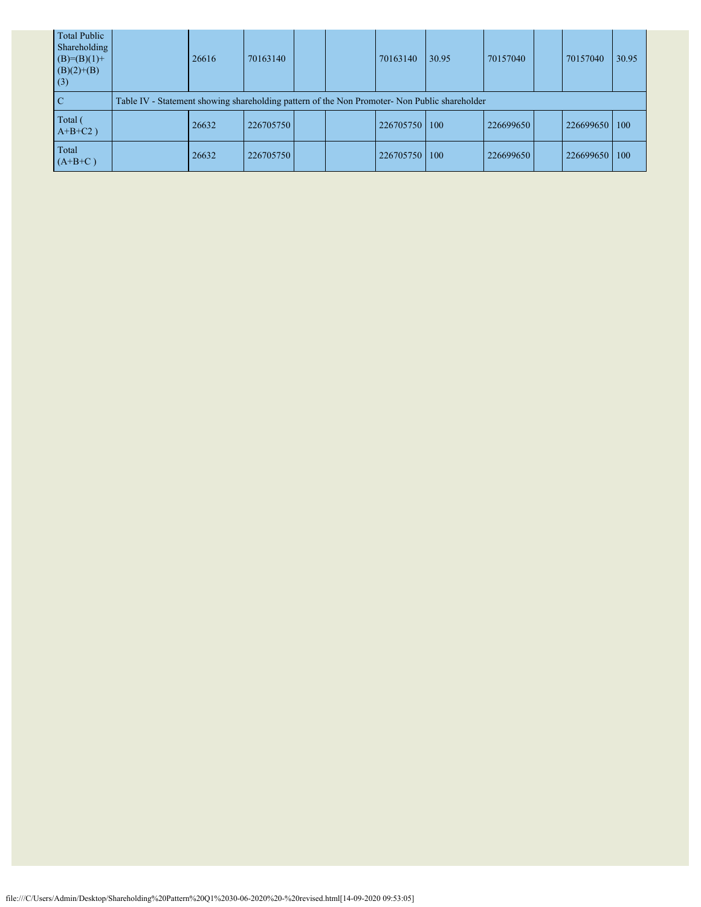| <b>Total Public</b><br>Shareholding<br>$(B)=(B)(1)+$<br>$(B)(2)+(B)$<br>(3) | 26616                                                                                         | 70163140  |  |  | 70163140  | 30.95 | 70157040  |  | 70157040  | 30.95 |
|-----------------------------------------------------------------------------|-----------------------------------------------------------------------------------------------|-----------|--|--|-----------|-------|-----------|--|-----------|-------|
| <sup>-</sup> C                                                              | Table IV - Statement showing shareholding pattern of the Non Promoter- Non Public shareholder |           |  |  |           |       |           |  |           |       |
| Total (<br>$A+B+C2$ )                                                       | 26632                                                                                         | 226705750 |  |  | 226705750 | 100   | 226699650 |  | 226699650 | 100   |
| Total<br>$(A+B+C)$                                                          | 26632                                                                                         | 226705750 |  |  | 226705750 | 100   | 226699650 |  | 226699650 | 100   |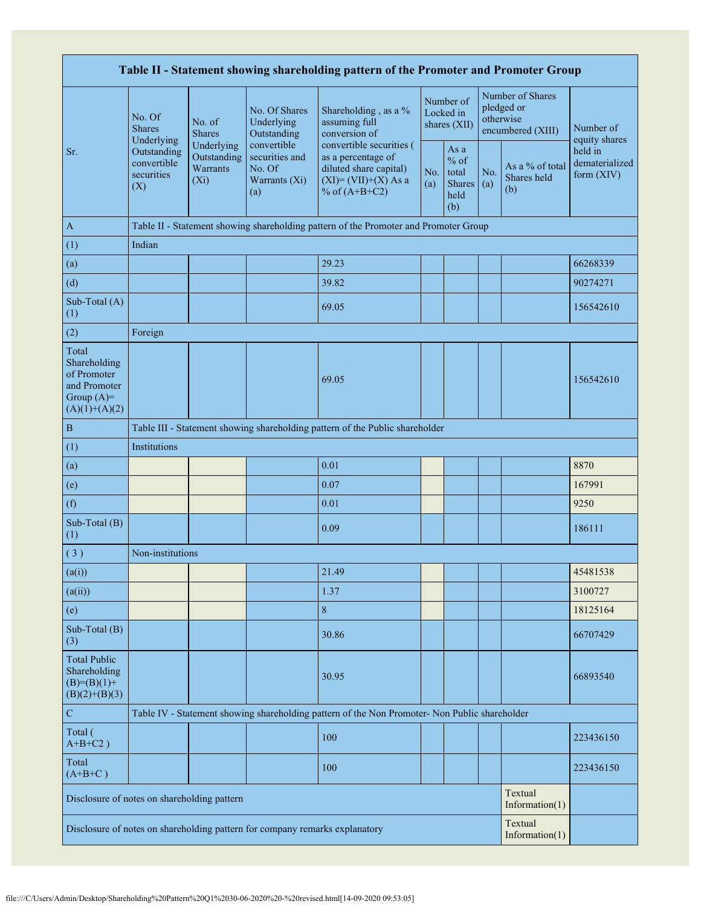| Table II - Statement showing shareholding pattern of the Promoter and Promoter Group    |                                                 |                                                                                      |                                                                             |                                                                                                                             |  |                                                         |            |                                                                  |                                         |  |
|-----------------------------------------------------------------------------------------|-------------------------------------------------|--------------------------------------------------------------------------------------|-----------------------------------------------------------------------------|-----------------------------------------------------------------------------------------------------------------------------|--|---------------------------------------------------------|------------|------------------------------------------------------------------|-----------------------------------------|--|
|                                                                                         | No. Of<br><b>Shares</b><br>Underlying           | No. of<br><b>Shares</b>                                                              | No. Of Shares<br>Underlying<br>Outstanding                                  | Shareholding, as a %<br>assuming full<br>conversion of                                                                      |  | Number of<br>Locked in<br>shares (XII)                  |            | Number of Shares<br>pledged or<br>otherwise<br>encumbered (XIII) | Number of<br>equity shares              |  |
| Sr.                                                                                     | Outstanding<br>convertible<br>securities<br>(X) | Underlying<br>Outstanding<br>Warrants<br>$(X_i)$                                     | convertible<br>securities and<br>No. Of<br>Warrants (Xi)<br>(a)             | convertible securities (<br>as a percentage of<br>diluted share capital)<br>No.<br>$(XI)=(VII)+(X)$ As a<br>% of $(A+B+C2)$ |  | As a<br>$%$ of<br>total<br><b>Shares</b><br>held<br>(b) | No.<br>(a) | As a % of total<br>Shares held<br>(b)                            | held in<br>dematerialized<br>form (XIV) |  |
| $\mathbf{A}$                                                                            |                                                 | Table II - Statement showing shareholding pattern of the Promoter and Promoter Group |                                                                             |                                                                                                                             |  |                                                         |            |                                                                  |                                         |  |
| (1)                                                                                     | Indian                                          |                                                                                      |                                                                             |                                                                                                                             |  |                                                         |            |                                                                  |                                         |  |
| (a)                                                                                     |                                                 |                                                                                      |                                                                             | 29.23                                                                                                                       |  |                                                         |            |                                                                  | 66268339                                |  |
| (d)                                                                                     |                                                 |                                                                                      |                                                                             | 39.82                                                                                                                       |  |                                                         |            |                                                                  | 90274271                                |  |
| Sub-Total (A)<br>(1)                                                                    |                                                 |                                                                                      |                                                                             | 69.05                                                                                                                       |  |                                                         |            |                                                                  | 156542610                               |  |
| (2)                                                                                     | Foreign                                         |                                                                                      |                                                                             |                                                                                                                             |  |                                                         |            |                                                                  |                                         |  |
| Total<br>Shareholding<br>of Promoter<br>and Promoter<br>Group $(A)=$<br>$(A)(1)+(A)(2)$ |                                                 |                                                                                      |                                                                             | 69.05                                                                                                                       |  |                                                         |            |                                                                  | 156542610                               |  |
| $\, {\bf B}$                                                                            |                                                 |                                                                                      |                                                                             | Table III - Statement showing shareholding pattern of the Public shareholder                                                |  |                                                         |            |                                                                  |                                         |  |
| (1)                                                                                     | Institutions                                    |                                                                                      |                                                                             |                                                                                                                             |  |                                                         |            |                                                                  |                                         |  |
| (a)                                                                                     |                                                 |                                                                                      |                                                                             | 0.01                                                                                                                        |  |                                                         |            |                                                                  | 8870                                    |  |
| (e)                                                                                     |                                                 |                                                                                      |                                                                             | 0.07                                                                                                                        |  |                                                         |            |                                                                  | 167991                                  |  |
| (f)                                                                                     |                                                 |                                                                                      |                                                                             | 0.01                                                                                                                        |  |                                                         |            |                                                                  | 9250                                    |  |
| Sub-Total (B)<br>(1)                                                                    |                                                 |                                                                                      |                                                                             | 0.09                                                                                                                        |  |                                                         |            |                                                                  | 186111                                  |  |
| (3)                                                                                     | Non-institutions                                |                                                                                      |                                                                             |                                                                                                                             |  |                                                         |            |                                                                  |                                         |  |
| (a(i))                                                                                  |                                                 |                                                                                      |                                                                             | 21.49                                                                                                                       |  |                                                         |            |                                                                  | 45481538                                |  |
| (a(ii))                                                                                 |                                                 |                                                                                      |                                                                             | 1.37                                                                                                                        |  |                                                         |            |                                                                  | 3100727                                 |  |
| (e)                                                                                     |                                                 |                                                                                      |                                                                             | $\,8\,$                                                                                                                     |  |                                                         |            |                                                                  | 18125164                                |  |
| Sub-Total (B)<br>(3)                                                                    |                                                 |                                                                                      |                                                                             | 30.86                                                                                                                       |  |                                                         |            |                                                                  | 66707429                                |  |
| <b>Total Public</b><br>Shareholding<br>$(B)= (B)(1) +$<br>$(B)(2)+(B)(3)$               |                                                 |                                                                                      |                                                                             | 30.95                                                                                                                       |  |                                                         |            |                                                                  | 66893540                                |  |
| $\mathbf C$                                                                             |                                                 |                                                                                      |                                                                             | Table IV - Statement showing shareholding pattern of the Non Promoter- Non Public shareholder                               |  |                                                         |            |                                                                  |                                         |  |
| Total (<br>$A+B+C2$ )                                                                   |                                                 |                                                                                      |                                                                             | 100                                                                                                                         |  |                                                         |            |                                                                  | 223436150                               |  |
| Total<br>$(A+B+C)$                                                                      |                                                 |                                                                                      |                                                                             | 100                                                                                                                         |  |                                                         |            |                                                                  | 223436150                               |  |
| Disclosure of notes on shareholding pattern                                             |                                                 |                                                                                      |                                                                             |                                                                                                                             |  |                                                         |            | Textual<br>Information $(1)$                                     |                                         |  |
|                                                                                         |                                                 |                                                                                      | Disclosure of notes on shareholding pattern for company remarks explanatory |                                                                                                                             |  |                                                         |            | Textual<br>Information $(1)$                                     |                                         |  |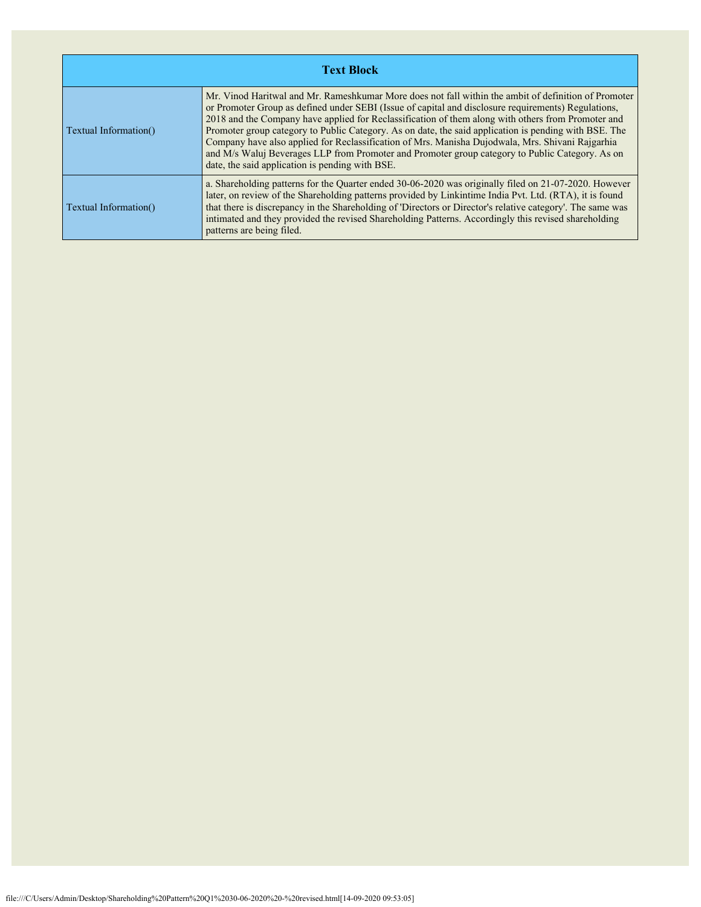| <b>Text Block</b>     |                                                                                                                                                                                                                                                                                                                                                                                                                                                                                                                                                                                                                                                                                      |  |  |  |  |  |  |  |
|-----------------------|--------------------------------------------------------------------------------------------------------------------------------------------------------------------------------------------------------------------------------------------------------------------------------------------------------------------------------------------------------------------------------------------------------------------------------------------------------------------------------------------------------------------------------------------------------------------------------------------------------------------------------------------------------------------------------------|--|--|--|--|--|--|--|
| Textual Information() | Mr. Vinod Haritwal and Mr. Rameshkumar More does not fall within the ambit of definition of Promoter<br>or Promoter Group as defined under SEBI (Issue of capital and disclosure requirements) Regulations,<br>2018 and the Company have applied for Reclassification of them along with others from Promoter and<br>Promoter group category to Public Category. As on date, the said application is pending with BSE. The<br>Company have also applied for Reclassification of Mrs. Manisha Dujodwala, Mrs. Shivani Rajgarhia<br>and M/s Waluj Beverages LLP from Promoter and Promoter group category to Public Category. As on<br>date, the said application is pending with BSE. |  |  |  |  |  |  |  |
| Textual Information() | a. Shareholding patterns for the Quarter ended 30-06-2020 was originally filed on 21-07-2020. However<br>later, on review of the Shareholding patterns provided by Linkintime India Pvt. Ltd. (RTA), it is found<br>that there is discrepancy in the Shareholding of 'Directors or Director's relative category'. The same was<br>intimated and they provided the revised Shareholding Patterns. Accordingly this revised shareholding<br>patterns are being filed.                                                                                                                                                                                                                  |  |  |  |  |  |  |  |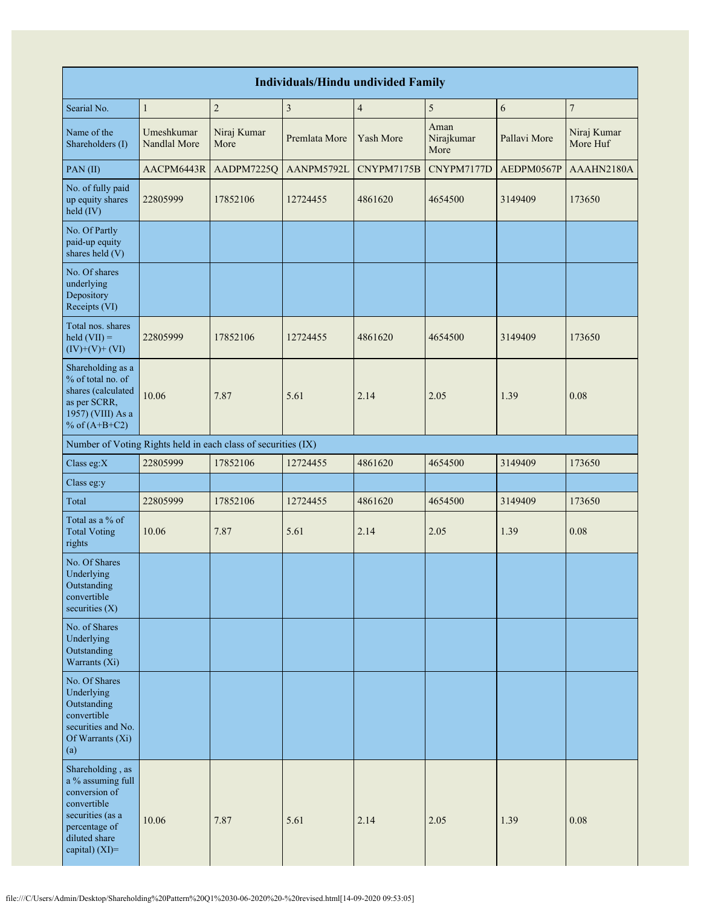|                                                                                                                                               | <b>Individuals/Hindu undivided Family</b> |                     |                |                |                            |              |                         |  |  |  |  |
|-----------------------------------------------------------------------------------------------------------------------------------------------|-------------------------------------------|---------------------|----------------|----------------|----------------------------|--------------|-------------------------|--|--|--|--|
| Searial No.                                                                                                                                   | $\mathbf{1}$                              | $\overline{c}$      | $\mathfrak{Z}$ | $\overline{4}$ | $\mathfrak{S}$             | 6            | $\boldsymbol{7}$        |  |  |  |  |
| Name of the<br>Shareholders (I)                                                                                                               | Umeshkumar<br>Nandlal More                | Niraj Kumar<br>More | Premlata More  | Yash More      | Aman<br>Nirajkumar<br>More | Pallavi More | Niraj Kumar<br>More Huf |  |  |  |  |
| PAN(II)                                                                                                                                       | AACPM6443R                                | AADPM7225Q          | AANPM5792L     | CNYPM7175B     | CNYPM7177D                 | AEDPM0567P   | AAAHN2180A              |  |  |  |  |
| No. of fully paid<br>up equity shares<br>$held$ (IV)                                                                                          | 22805999                                  | 17852106            | 12724455       | 4861620        | 4654500                    | 3149409      | 173650                  |  |  |  |  |
| No. Of Partly<br>paid-up equity<br>shares held (V)                                                                                            |                                           |                     |                |                |                            |              |                         |  |  |  |  |
| No. Of shares<br>underlying<br>Depository<br>Receipts (VI)                                                                                    |                                           |                     |                |                |                            |              |                         |  |  |  |  |
| Total nos. shares<br>$\text{held (VII)} =$<br>$(IV)+(V)+(VI)$                                                                                 | 22805999                                  | 17852106            | 12724455       | 4861620        | 4654500                    | 3149409      | 173650                  |  |  |  |  |
| Shareholding as a<br>% of total no. of<br>shares (calculated<br>as per SCRR,<br>1957) (VIII) As a<br>% of $(A+B+C2)$                          | 10.06                                     | 7.87                | 5.61           | 2.14           | 2.05                       | 1.39         | 0.08                    |  |  |  |  |
| Number of Voting Rights held in each class of securities (IX)                                                                                 |                                           |                     |                |                |                            |              |                         |  |  |  |  |
| Class eg:X                                                                                                                                    | 22805999                                  | 17852106            | 12724455       | 4861620        | 4654500                    | 3149409      | 173650                  |  |  |  |  |
| Class eg:y                                                                                                                                    |                                           |                     |                |                |                            |              |                         |  |  |  |  |
| Total                                                                                                                                         | 22805999                                  | 17852106            | 12724455       | 4861620        | 4654500                    | 3149409      | 173650                  |  |  |  |  |
| Total as a % of<br><b>Total Voting</b><br>rights                                                                                              | 10.06                                     | 7.87                | 5.61           | 2.14           | 2.05                       | 1.39         | 0.08                    |  |  |  |  |
| No. Of Shares<br>Underlying<br>Outstanding<br>convertible<br>securities $(X)$                                                                 |                                           |                     |                |                |                            |              |                         |  |  |  |  |
| No. of Shares<br>Underlying<br>Outstanding<br>Warrants (Xi)                                                                                   |                                           |                     |                |                |                            |              |                         |  |  |  |  |
| No. Of Shares<br>Underlying<br>Outstanding<br>convertible<br>securities and No.<br>Of Warrants (Xi)<br>(a)                                    |                                           |                     |                |                |                            |              |                         |  |  |  |  |
| Shareholding, as<br>a % assuming full<br>conversion of<br>convertible<br>securities (as a<br>percentage of<br>diluted share<br>capital) (XI)= | 10.06                                     | 7.87                | 5.61           | 2.14           | 2.05                       | 1.39         | 0.08                    |  |  |  |  |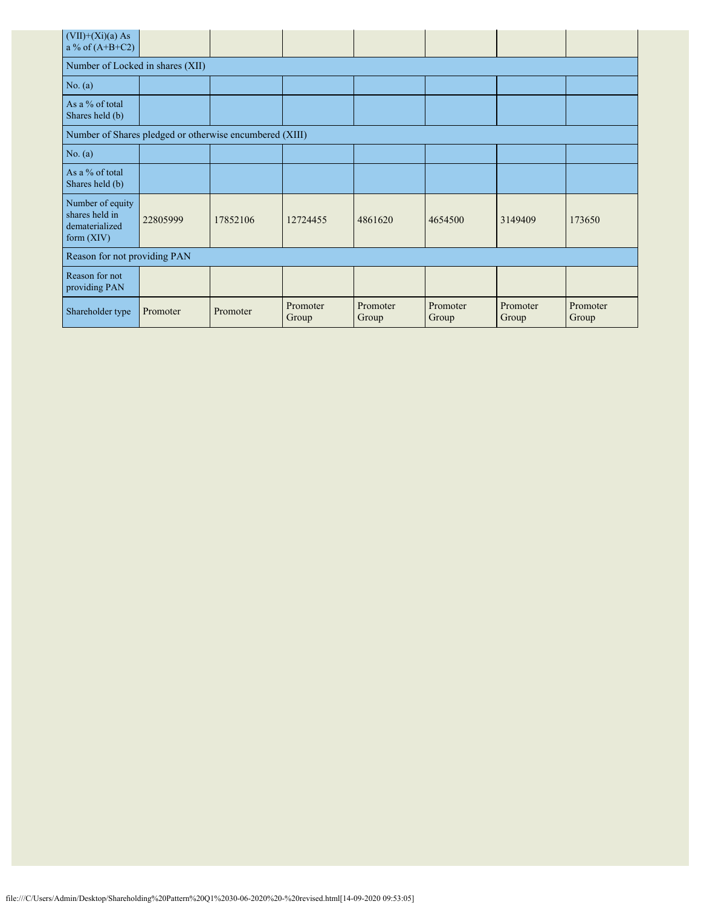| $(VII)+(Xi)(a) As$<br>a % of $(A+B+C2)$                              |                                                         |          |                   |                   |                   |                   |                   |  |  |  |  |
|----------------------------------------------------------------------|---------------------------------------------------------|----------|-------------------|-------------------|-------------------|-------------------|-------------------|--|--|--|--|
| Number of Locked in shares (XII)                                     |                                                         |          |                   |                   |                   |                   |                   |  |  |  |  |
| No. $(a)$                                                            |                                                         |          |                   |                   |                   |                   |                   |  |  |  |  |
| As a % of total<br>Shares held (b)                                   |                                                         |          |                   |                   |                   |                   |                   |  |  |  |  |
|                                                                      | Number of Shares pledged or otherwise encumbered (XIII) |          |                   |                   |                   |                   |                   |  |  |  |  |
| No. $(a)$                                                            |                                                         |          |                   |                   |                   |                   |                   |  |  |  |  |
| As a % of total<br>Shares held (b)                                   |                                                         |          |                   |                   |                   |                   |                   |  |  |  |  |
| Number of equity<br>shares held in<br>dematerialized<br>form $(XIV)$ | 22805999                                                | 17852106 | 12724455          | 4861620           | 4654500           | 3149409           | 173650            |  |  |  |  |
|                                                                      | Reason for not providing PAN                            |          |                   |                   |                   |                   |                   |  |  |  |  |
| Reason for not<br>providing PAN                                      |                                                         |          |                   |                   |                   |                   |                   |  |  |  |  |
| Shareholder type                                                     | Promoter                                                | Promoter | Promoter<br>Group | Promoter<br>Group | Promoter<br>Group | Promoter<br>Group | Promoter<br>Group |  |  |  |  |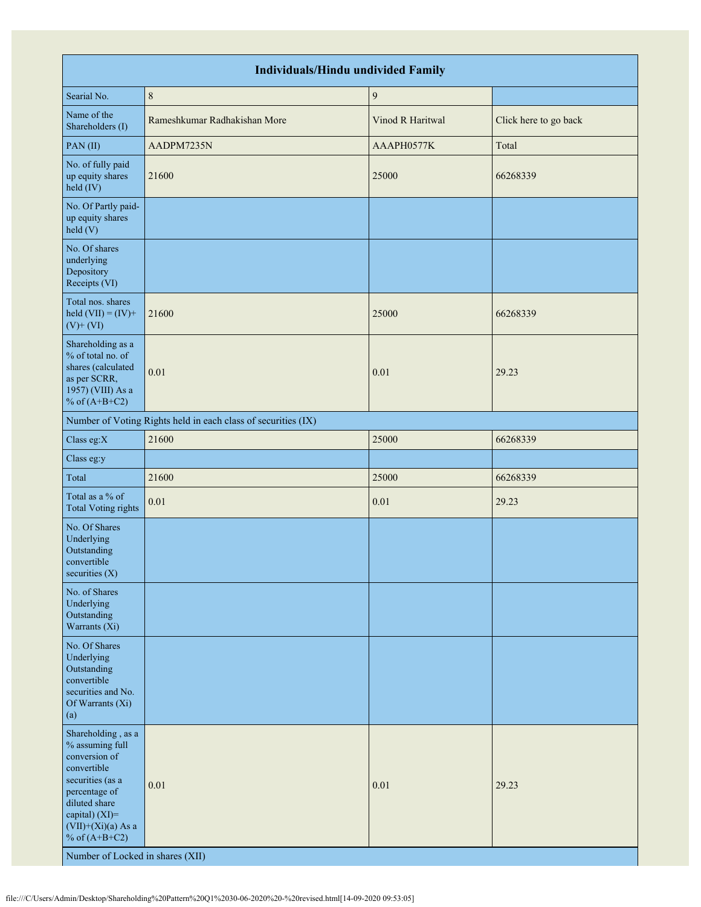| <b>Individuals/Hindu undivided Family</b>                                                                                                                                                                                    |                                                               |                  |                       |  |  |  |  |  |  |  |
|------------------------------------------------------------------------------------------------------------------------------------------------------------------------------------------------------------------------------|---------------------------------------------------------------|------------------|-----------------------|--|--|--|--|--|--|--|
| Searial No.                                                                                                                                                                                                                  | $\,$ $\,$                                                     | $\mathbf{9}$     |                       |  |  |  |  |  |  |  |
| Name of the<br>Shareholders (I)                                                                                                                                                                                              | Rameshkumar Radhakishan More                                  | Vinod R Haritwal | Click here to go back |  |  |  |  |  |  |  |
| PAN(II)                                                                                                                                                                                                                      | AADPM7235N                                                    | AAAPH0577K       | Total                 |  |  |  |  |  |  |  |
| No. of fully paid<br>up equity shares<br>held (IV)                                                                                                                                                                           | 21600                                                         | 25000            | 66268339              |  |  |  |  |  |  |  |
| No. Of Partly paid-<br>up equity shares<br>held (V)                                                                                                                                                                          |                                                               |                  |                       |  |  |  |  |  |  |  |
| No. Of shares<br>underlying<br>Depository<br>Receipts (VI)                                                                                                                                                                   |                                                               |                  |                       |  |  |  |  |  |  |  |
| Total nos. shares<br>held $(VII) = (IV) +$<br>$(V)$ + $(VI)$                                                                                                                                                                 | 21600                                                         | 25000            | 66268339              |  |  |  |  |  |  |  |
| Shareholding as a<br>% of total no. of<br>shares (calculated<br>as per SCRR,<br>1957) (VIII) As a<br>% of $(A+B+C2)$                                                                                                         | 0.01                                                          | 0.01             | 29.23                 |  |  |  |  |  |  |  |
|                                                                                                                                                                                                                              | Number of Voting Rights held in each class of securities (IX) |                  |                       |  |  |  |  |  |  |  |
| Class eg:X                                                                                                                                                                                                                   | 21600                                                         | 25000            | 66268339              |  |  |  |  |  |  |  |
| Class eg:y                                                                                                                                                                                                                   |                                                               |                  |                       |  |  |  |  |  |  |  |
| Total                                                                                                                                                                                                                        | 21600                                                         | 25000            | 66268339              |  |  |  |  |  |  |  |
| Total as a % of<br><b>Total Voting rights</b>                                                                                                                                                                                | 0.01                                                          | $0.01\,$         | 29.23                 |  |  |  |  |  |  |  |
| No. Of Shares<br>Underlying<br>Outstanding<br>convertible<br>securities $(X)$                                                                                                                                                |                                                               |                  |                       |  |  |  |  |  |  |  |
| No. of Shares<br>Underlying<br>Outstanding<br>Warrants (Xi)                                                                                                                                                                  |                                                               |                  |                       |  |  |  |  |  |  |  |
| No. Of Shares<br>Underlying<br>Outstanding<br>convertible<br>securities and No.<br>Of Warrants (Xi)<br>(a)                                                                                                                   |                                                               |                  |                       |  |  |  |  |  |  |  |
| Shareholding, as a<br>% assuming full<br>conversion of<br>convertible<br>securities (as a<br>percentage of<br>diluted share<br>capital) (XI)=<br>$(VII)+(Xi)(a)$ As a<br>% of $(A+B+C2)$<br>Number of Locked in shares (XII) | 0.01                                                          | 0.01             | 29.23                 |  |  |  |  |  |  |  |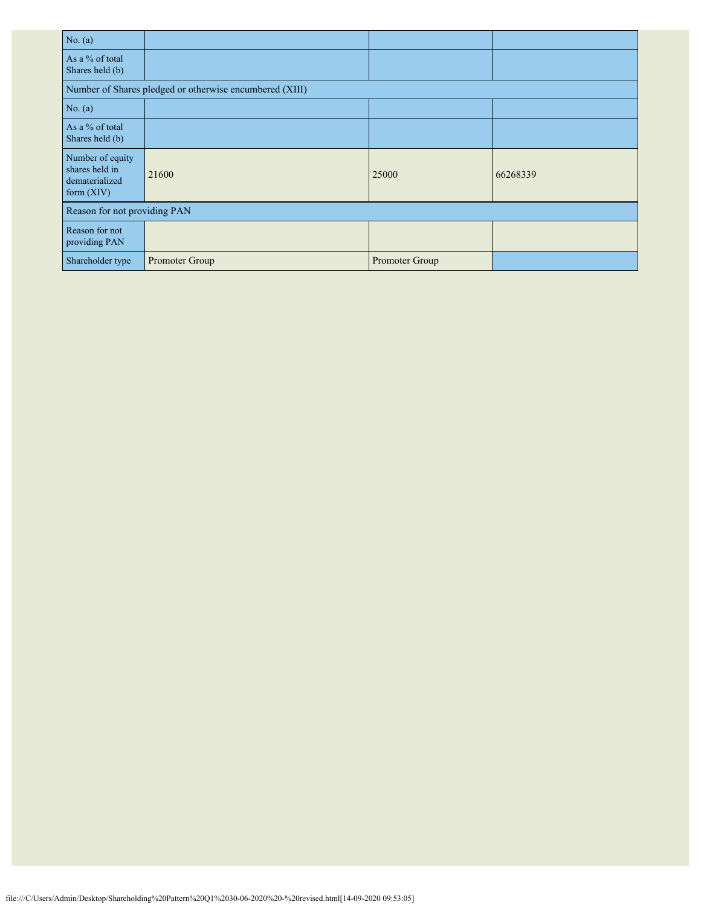| No. $(a)$                                                          |                              |                |          |  |  |  |  |  |  |  |
|--------------------------------------------------------------------|------------------------------|----------------|----------|--|--|--|--|--|--|--|
| As a % of total<br>Shares held (b)                                 |                              |                |          |  |  |  |  |  |  |  |
| Number of Shares pledged or otherwise encumbered (XIII)            |                              |                |          |  |  |  |  |  |  |  |
| No. (a)                                                            |                              |                |          |  |  |  |  |  |  |  |
| As a % of total<br>Shares held (b)                                 |                              |                |          |  |  |  |  |  |  |  |
| Number of equity<br>shares held in<br>dematerialized<br>form (XIV) | 21600                        | 25000          | 66268339 |  |  |  |  |  |  |  |
|                                                                    | Reason for not providing PAN |                |          |  |  |  |  |  |  |  |
| Reason for not<br>providing PAN                                    |                              |                |          |  |  |  |  |  |  |  |
| Shareholder type                                                   | Promoter Group               | Promoter Group |          |  |  |  |  |  |  |  |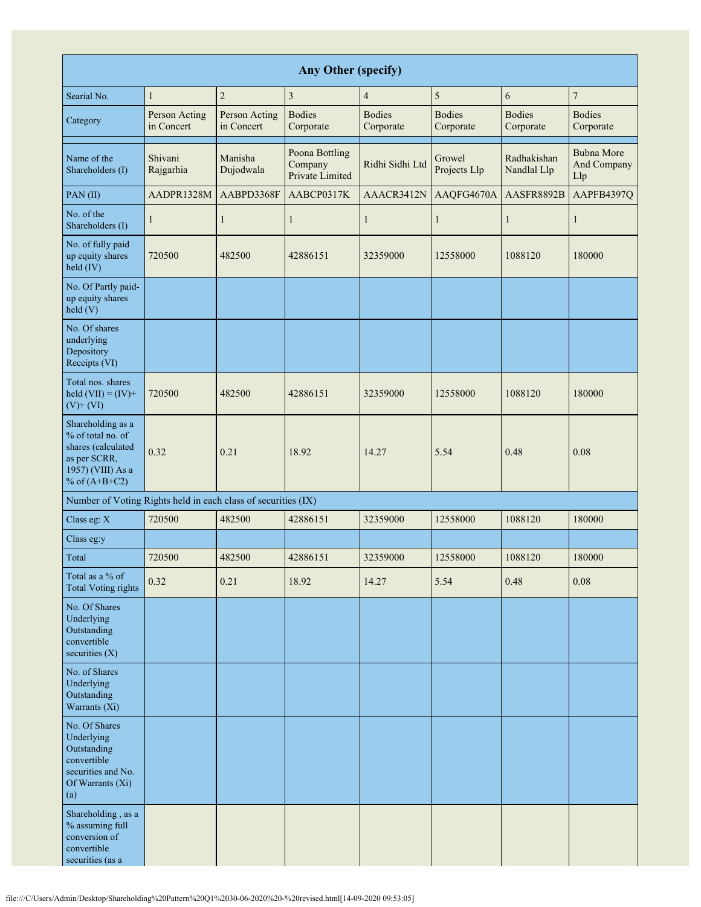| <b>Any Other (specify)</b>                                                                                           |                             |                             |                                              |                            |                            |                            |                                         |  |
|----------------------------------------------------------------------------------------------------------------------|-----------------------------|-----------------------------|----------------------------------------------|----------------------------|----------------------------|----------------------------|-----------------------------------------|--|
| Searial No.                                                                                                          | $\mathbf{1}$                | $\overline{2}$              | $\overline{3}$                               | $\overline{4}$             | 5                          | 6                          | $\tau$                                  |  |
| Category                                                                                                             | Person Acting<br>in Concert | Person Acting<br>in Concert | <b>Bodies</b><br>Corporate                   | <b>Bodies</b><br>Corporate | <b>Bodies</b><br>Corporate | <b>Bodies</b><br>Corporate | <b>Bodies</b><br>Corporate              |  |
| Name of the<br>Shareholders (I)                                                                                      | Shivani<br>Rajgarhia        | Manisha<br>Dujodwala        | Poona Bottling<br>Company<br>Private Limited | Ridhi Sidhi Ltd            | Growel<br>Projects Llp     | Radhakishan<br>Nandlal Llp | <b>Bubna More</b><br>And Company<br>Llp |  |
| PAN(II)                                                                                                              | AADPR1328M                  | AABPD3368F                  | AABCP0317K                                   | AAACR3412N                 | AAQFG4670A                 | AASFR8892B                 | AAPFB4397Q                              |  |
| No. of the<br>Shareholders (I)                                                                                       | $\mathbf{1}$                | 1                           | $\mathbf{1}$                                 | 1                          | $\mathbf{1}$               | 1                          | $\mathbf{1}$                            |  |
| No. of fully paid<br>up equity shares<br>held (IV)                                                                   | 720500                      | 482500                      | 42886151                                     | 32359000                   | 12558000                   | 1088120                    | 180000                                  |  |
| No. Of Partly paid-<br>up equity shares<br>held(V)                                                                   |                             |                             |                                              |                            |                            |                            |                                         |  |
| No. Of shares<br>underlying<br>Depository<br>Receipts (VI)                                                           |                             |                             |                                              |                            |                            |                            |                                         |  |
| Total nos. shares<br>held $(VII) = (IV) +$<br>$(V)$ + $(VI)$                                                         | 720500                      | 482500                      | 42886151                                     | 32359000                   | 12558000                   | 1088120                    | 180000                                  |  |
| Shareholding as a<br>% of total no. of<br>shares (calculated<br>as per SCRR,<br>1957) (VIII) As a<br>% of $(A+B+C2)$ | 0.32                        | 0.21                        | 18.92                                        | 14.27                      | 5.54                       | 0.48                       | 0.08                                    |  |
| Number of Voting Rights held in each class of securities (IX)                                                        |                             |                             |                                              |                            |                            |                            |                                         |  |
| Class eg: X                                                                                                          | 720500                      | 482500                      | 42886151                                     | 32359000                   | 12558000                   | 1088120                    | 180000                                  |  |
| Class eg:y                                                                                                           |                             |                             |                                              |                            |                            |                            |                                         |  |
| Total                                                                                                                | 720500                      | 482500                      | 42886151                                     | 32359000                   | 12558000                   | 1088120                    | 180000                                  |  |
| Total as a % of<br><b>Total Voting rights</b>                                                                        | 0.32                        | 0.21                        | 18.92                                        | 14.27                      | 5.54                       | 0.48                       | 0.08                                    |  |
| No. Of Shares<br>Underlying<br>Outstanding<br>convertible<br>securities $(X)$                                        |                             |                             |                                              |                            |                            |                            |                                         |  |
| No. of Shares<br>Underlying<br>Outstanding<br>Warrants (Xi)                                                          |                             |                             |                                              |                            |                            |                            |                                         |  |
| No. Of Shares<br>Underlying<br>Outstanding<br>convertible<br>securities and No.<br>Of Warrants (Xi)<br>(a)           |                             |                             |                                              |                            |                            |                            |                                         |  |
| Shareholding, as a<br>% assuming full<br>conversion of<br>convertible<br>securities (as a                            |                             |                             |                                              |                            |                            |                            |                                         |  |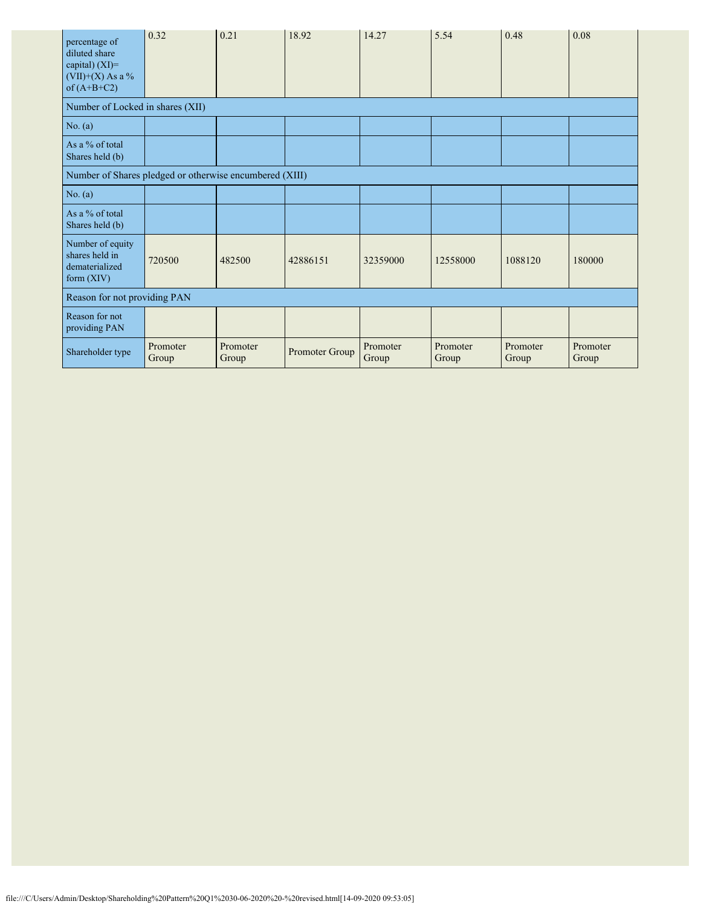| percentage of<br>diluted share<br>capital) (XI)=<br>(VII)+(X) As a %<br>of $(A+B+C2)$ | 0.32              | 0.21              | 18.92          | 14.27             | 5.54              | 0.48              | 0.08              |
|---------------------------------------------------------------------------------------|-------------------|-------------------|----------------|-------------------|-------------------|-------------------|-------------------|
| Number of Locked in shares (XII)                                                      |                   |                   |                |                   |                   |                   |                   |
| No. (a)                                                                               |                   |                   |                |                   |                   |                   |                   |
| As a % of total<br>Shares held (b)                                                    |                   |                   |                |                   |                   |                   |                   |
| Number of Shares pledged or otherwise encumbered (XIII)                               |                   |                   |                |                   |                   |                   |                   |
| No. (a)                                                                               |                   |                   |                |                   |                   |                   |                   |
| As a % of total<br>Shares held (b)                                                    |                   |                   |                |                   |                   |                   |                   |
| Number of equity<br>shares held in<br>dematerialized<br>form $(XIV)$                  | 720500            | 482500            | 42886151       | 32359000          | 12558000          | 1088120           | 180000            |
| Reason for not providing PAN                                                          |                   |                   |                |                   |                   |                   |                   |
| Reason for not<br>providing PAN                                                       |                   |                   |                |                   |                   |                   |                   |
| Shareholder type                                                                      | Promoter<br>Group | Promoter<br>Group | Promoter Group | Promoter<br>Group | Promoter<br>Group | Promoter<br>Group | Promoter<br>Group |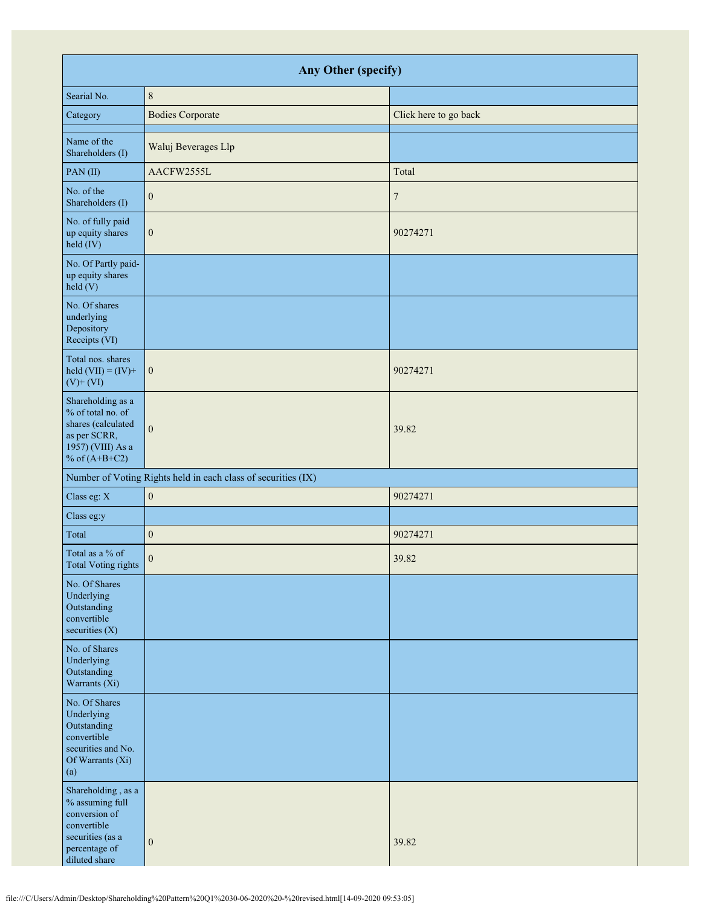| <b>Any Other (specify)</b>                                                                                                  |                                                               |                       |  |  |  |  |
|-----------------------------------------------------------------------------------------------------------------------------|---------------------------------------------------------------|-----------------------|--|--|--|--|
| Searial No.                                                                                                                 | $\,8\,$                                                       |                       |  |  |  |  |
| Category                                                                                                                    | <b>Bodies Corporate</b>                                       | Click here to go back |  |  |  |  |
| Name of the<br>Shareholders (I)                                                                                             | Waluj Beverages Llp                                           |                       |  |  |  |  |
| PAN(II)                                                                                                                     | AACFW2555L                                                    | Total                 |  |  |  |  |
| No. of the<br>Shareholders (I)                                                                                              | $\mathbf{0}$                                                  | 7                     |  |  |  |  |
| No. of fully paid<br>up equity shares<br>held (IV)                                                                          | $\boldsymbol{0}$                                              | 90274271              |  |  |  |  |
| No. Of Partly paid-<br>up equity shares<br>held(V)                                                                          |                                                               |                       |  |  |  |  |
| No. Of shares<br>underlying<br>Depository<br>Receipts (VI)                                                                  |                                                               |                       |  |  |  |  |
| Total nos. shares<br>held $(VII) = (IV) +$<br>$(V)$ + $(VI)$                                                                | $\boldsymbol{0}$                                              | 90274271              |  |  |  |  |
| Shareholding as a<br>% of total no. of<br>shares (calculated<br>as per SCRR,<br>1957) (VIII) As a<br>% of $(A+B+C2)$        | $\mathbf{0}$                                                  | 39.82                 |  |  |  |  |
|                                                                                                                             | Number of Voting Rights held in each class of securities (IX) |                       |  |  |  |  |
| Class eg: X                                                                                                                 | $\boldsymbol{0}$                                              | 90274271              |  |  |  |  |
| Class eg:y                                                                                                                  |                                                               |                       |  |  |  |  |
| Total                                                                                                                       | $\boldsymbol{0}$                                              | 90274271              |  |  |  |  |
| Total as a % of<br>Total Voting rights                                                                                      | $\mathbf{0}$                                                  | 39.82                 |  |  |  |  |
| No. Of Shares<br>Underlying<br>Outstanding<br>convertible<br>securities $(X)$                                               |                                                               |                       |  |  |  |  |
| No. of Shares<br>Underlying<br>Outstanding<br>Warrants (Xi)                                                                 |                                                               |                       |  |  |  |  |
| No. Of Shares<br>Underlying<br>Outstanding<br>convertible<br>securities and No.<br>Of Warrants (Xi)<br>(a)                  |                                                               |                       |  |  |  |  |
| Shareholding, as a<br>% assuming full<br>conversion of<br>convertible<br>securities (as a<br>percentage of<br>diluted share | $\boldsymbol{0}$                                              | 39.82                 |  |  |  |  |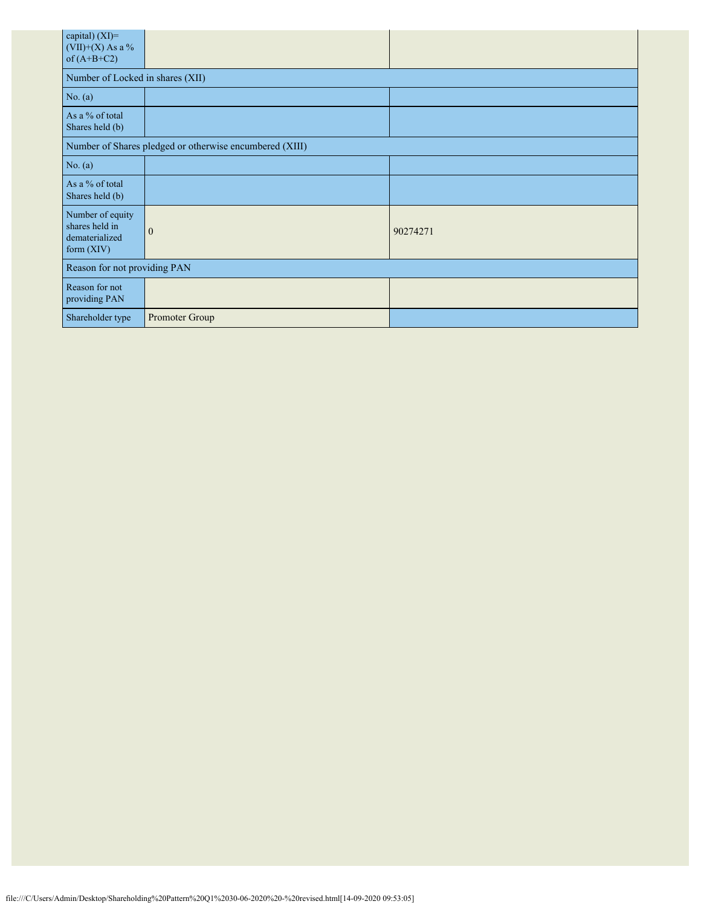| capital) $(XI)=$<br>$(VII)+(X)$ As a %<br>of $(A+B+C2)$              |                                  |          |  |  |  |  |  |  |
|----------------------------------------------------------------------|----------------------------------|----------|--|--|--|--|--|--|
|                                                                      | Number of Locked in shares (XII) |          |  |  |  |  |  |  |
| No. (a)                                                              |                                  |          |  |  |  |  |  |  |
| As a % of total<br>Shares held (b)                                   |                                  |          |  |  |  |  |  |  |
| Number of Shares pledged or otherwise encumbered (XIII)              |                                  |          |  |  |  |  |  |  |
| No. (a)                                                              |                                  |          |  |  |  |  |  |  |
| As a % of total<br>Shares held (b)                                   |                                  |          |  |  |  |  |  |  |
| Number of equity<br>shares held in<br>dematerialized<br>form $(XIV)$ | $\theta$                         | 90274271 |  |  |  |  |  |  |
| Reason for not providing PAN                                         |                                  |          |  |  |  |  |  |  |
| Reason for not<br>providing PAN                                      |                                  |          |  |  |  |  |  |  |
| Shareholder type                                                     | Promoter Group                   |          |  |  |  |  |  |  |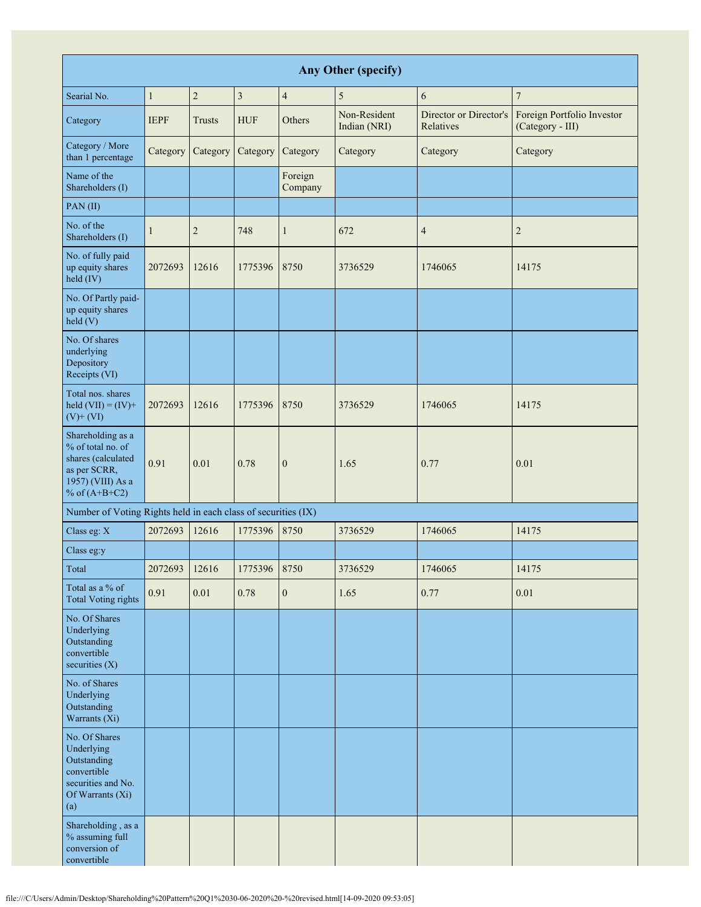| <b>Any Other (specify)</b>                                                                                           |              |                |                         |                    |                              |                                     |                                                |
|----------------------------------------------------------------------------------------------------------------------|--------------|----------------|-------------------------|--------------------|------------------------------|-------------------------------------|------------------------------------------------|
| Searial No.                                                                                                          | $\mathbf{1}$ | $\overline{c}$ | $\overline{\mathbf{3}}$ | $\overline{4}$     | $\sqrt{5}$                   | 6                                   | $\overline{7}$                                 |
| Category                                                                                                             | <b>IEPF</b>  | Trusts         | <b>HUF</b>              | Others             | Non-Resident<br>Indian (NRI) | Director or Director's<br>Relatives | Foreign Portfolio Investor<br>(Category - III) |
| Category / More<br>than 1 percentage                                                                                 | Category     | Category       | Category                | Category           | Category                     | Category                            | Category                                       |
| Name of the<br>Shareholders (I)                                                                                      |              |                |                         | Foreign<br>Company |                              |                                     |                                                |
| PAN(II)                                                                                                              |              |                |                         |                    |                              |                                     |                                                |
| No. of the<br>Shareholders (I)                                                                                       | 1            | $\sqrt{2}$     | 748                     | $\mathbf{1}$       | 672                          | $\overline{4}$                      | $\overline{c}$                                 |
| No. of fully paid<br>up equity shares<br>held (IV)                                                                   | 2072693      | 12616          | 1775396                 | 8750               | 3736529                      | 1746065                             | 14175                                          |
| No. Of Partly paid-<br>up equity shares<br>held(V)                                                                   |              |                |                         |                    |                              |                                     |                                                |
| No. Of shares<br>underlying<br>Depository<br>Receipts (VI)                                                           |              |                |                         |                    |                              |                                     |                                                |
| Total nos. shares<br>held $(VII) = (IV) +$<br>$(V)$ + $(VI)$                                                         | 2072693      | 12616          | 1775396                 | 8750               | 3736529                      | 1746065                             | 14175                                          |
| Shareholding as a<br>% of total no. of<br>shares (calculated<br>as per SCRR,<br>1957) (VIII) As a<br>% of $(A+B+C2)$ | 0.91         | 0.01           | 0.78                    | $\overline{0}$     | 1.65                         | 0.77                                | 0.01                                           |
| Number of Voting Rights held in each class of securities (IX)                                                        |              |                |                         |                    |                              |                                     |                                                |
| Class eg: X                                                                                                          | 2072693      | 12616          | 1775396                 | 8750               | 3736529                      | 1746065                             | 14175                                          |
| Class eg:y                                                                                                           |              |                |                         |                    |                              |                                     |                                                |
| Total                                                                                                                | 2072693      | 12616          | 1775396                 | 8750               | 3736529                      | 1746065                             | 14175                                          |
| Total as a % of<br><b>Total Voting rights</b>                                                                        | 0.91         | $0.01\,$       | 0.78                    | $\boldsymbol{0}$   | 1.65                         | 0.77                                | $0.01\,$                                       |
| No. Of Shares<br>Underlying<br>Outstanding<br>convertible<br>securities $(X)$                                        |              |                |                         |                    |                              |                                     |                                                |
| No. of Shares<br>Underlying<br>Outstanding<br>Warrants (Xi)                                                          |              |                |                         |                    |                              |                                     |                                                |
| No. Of Shares<br>Underlying<br>Outstanding<br>convertible<br>securities and No.<br>Of Warrants (Xi)<br>(a)           |              |                |                         |                    |                              |                                     |                                                |
| Shareholding, as a<br>% assuming full<br>conversion of<br>convertible                                                |              |                |                         |                    |                              |                                     |                                                |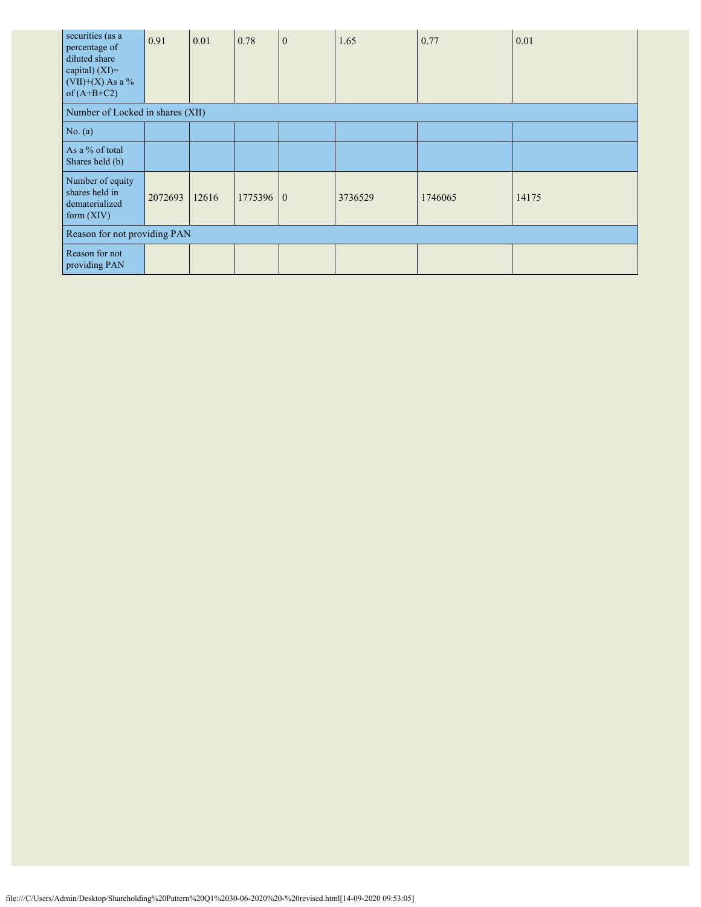| securities (as a<br>percentage of<br>diluted share<br>capital) $(XI)=$<br>$(VII)+(X)$ As a %<br>of $(A+B+C2)$ | 0.91    | 0.01  | 0.78      | $\overline{0}$ | 1.65    | 0.77    | 0.01  |
|---------------------------------------------------------------------------------------------------------------|---------|-------|-----------|----------------|---------|---------|-------|
| Number of Locked in shares (XII)                                                                              |         |       |           |                |         |         |       |
| No. (a)                                                                                                       |         |       |           |                |         |         |       |
| As a % of total<br>Shares held (b)                                                                            |         |       |           |                |         |         |       |
| Number of equity<br>shares held in<br>dematerialized<br>form $(XIV)$                                          | 2072693 | 12616 | 1775396 0 |                | 3736529 | 1746065 | 14175 |
| Reason for not providing PAN                                                                                  |         |       |           |                |         |         |       |
| Reason for not<br>providing PAN                                                                               |         |       |           |                |         |         |       |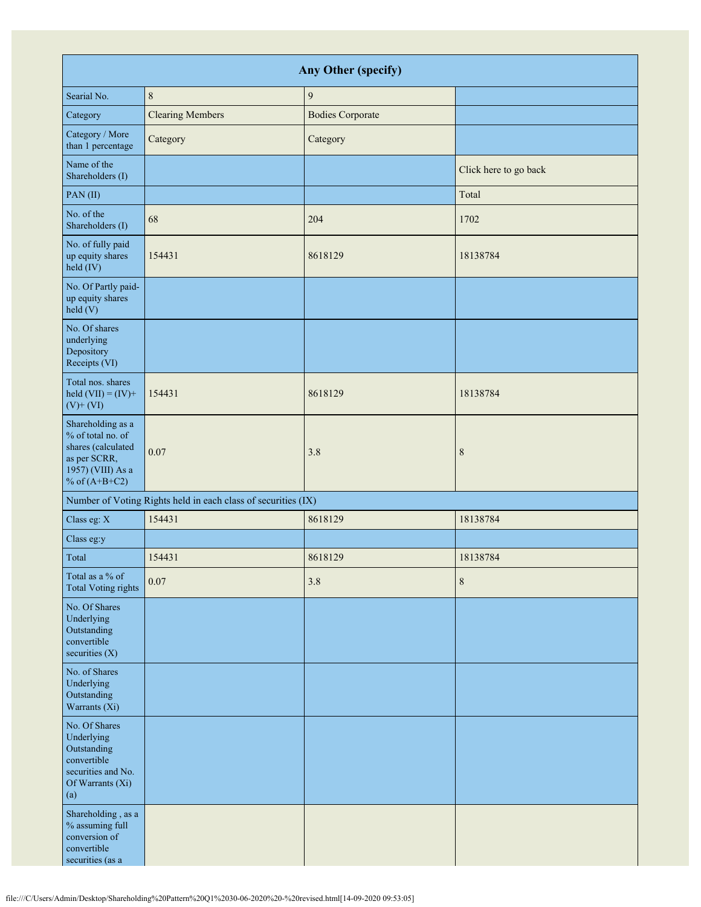| Any Other (specify)                                                                                                  |                                                               |                         |                       |  |  |  |
|----------------------------------------------------------------------------------------------------------------------|---------------------------------------------------------------|-------------------------|-----------------------|--|--|--|
| Searial No.                                                                                                          | $\,8\,$                                                       | $\overline{9}$          |                       |  |  |  |
| Category                                                                                                             | <b>Clearing Members</b>                                       | <b>Bodies Corporate</b> |                       |  |  |  |
| Category / More<br>than 1 percentage                                                                                 | Category                                                      | Category                |                       |  |  |  |
| Name of the<br>Shareholders (I)                                                                                      |                                                               |                         | Click here to go back |  |  |  |
| PAN(II)                                                                                                              |                                                               |                         | Total                 |  |  |  |
| No. of the<br>Shareholders (I)                                                                                       | 68                                                            | 204                     | 1702                  |  |  |  |
| No. of fully paid<br>up equity shares<br>$held$ (IV)                                                                 | 154431                                                        | 8618129                 | 18138784              |  |  |  |
| No. Of Partly paid-<br>up equity shares<br>held (V)                                                                  |                                                               |                         |                       |  |  |  |
| No. Of shares<br>underlying<br>Depository<br>Receipts (VI)                                                           |                                                               |                         |                       |  |  |  |
| Total nos. shares<br>held $(VII) = (IV) +$<br>$(V)$ + $(VI)$                                                         | 154431                                                        | 8618129                 | 18138784              |  |  |  |
| Shareholding as a<br>% of total no. of<br>shares (calculated<br>as per SCRR,<br>1957) (VIII) As a<br>% of $(A+B+C2)$ | 0.07                                                          | 3.8                     | $\,$ 8 $\,$           |  |  |  |
|                                                                                                                      | Number of Voting Rights held in each class of securities (IX) |                         |                       |  |  |  |
| Class eg: X                                                                                                          | 154431                                                        | 8618129                 | 18138784              |  |  |  |
| Class eg:y                                                                                                           |                                                               |                         |                       |  |  |  |
| Total                                                                                                                | 154431                                                        | 8618129                 | 18138784              |  |  |  |
| Total as a $\%$ of<br><b>Total Voting rights</b>                                                                     | 0.07                                                          | 3.8                     | $\,8\,$               |  |  |  |
| No. Of Shares<br>Underlying<br>Outstanding<br>convertible<br>securities $(X)$                                        |                                                               |                         |                       |  |  |  |
| No. of Shares<br>Underlying<br>Outstanding<br>Warrants (Xi)                                                          |                                                               |                         |                       |  |  |  |
| No. Of Shares<br>Underlying<br>Outstanding<br>convertible<br>securities and No.<br>Of Warrants (Xi)<br>(a)           |                                                               |                         |                       |  |  |  |
| Shareholding, as a<br>$\%$ assuming full<br>conversion of<br>convertible<br>securities (as a                         |                                                               |                         |                       |  |  |  |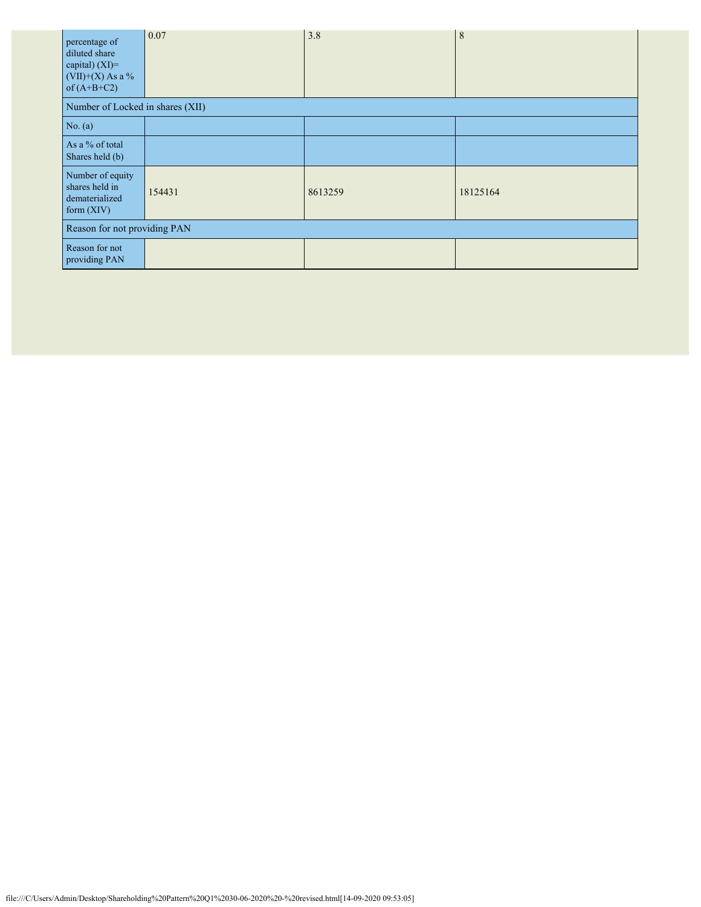| percentage of<br>diluted share<br>capital) (XI)=<br>$(VII)+(X)$ As a %<br>of $(A+B+C2)$ | 0.07                             | 3.8     | 8        |  |  |  |  |
|-----------------------------------------------------------------------------------------|----------------------------------|---------|----------|--|--|--|--|
|                                                                                         | Number of Locked in shares (XII) |         |          |  |  |  |  |
| No. (a)                                                                                 |                                  |         |          |  |  |  |  |
| As a % of total<br>Shares held (b)                                                      |                                  |         |          |  |  |  |  |
| Number of equity<br>shares held in<br>dematerialized<br>form $(XIV)$                    | 154431                           | 8613259 | 18125164 |  |  |  |  |
| Reason for not providing PAN                                                            |                                  |         |          |  |  |  |  |
| Reason for not<br>providing PAN                                                         |                                  |         |          |  |  |  |  |